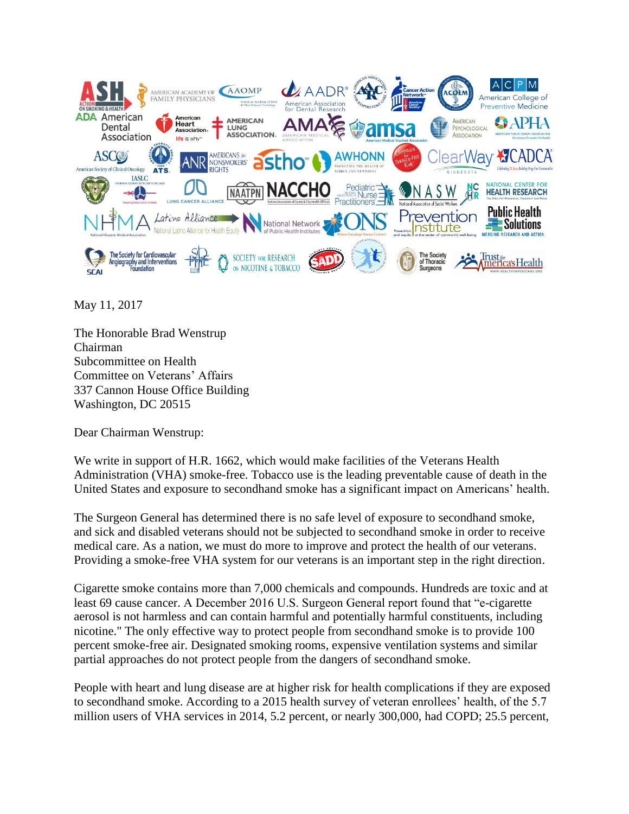

May 11, 2017

The Honorable Brad Wenstrup Chairman Subcommittee on Health Committee on Veterans' Affairs 337 Cannon House Office Building Washington, DC 20515

Dear Chairman Wenstrup:

We write in support of H.R. 1662, which would make facilities of the Veterans Health Administration (VHA) smoke-free. Tobacco use is the leading preventable cause of death in the United States and exposure to secondhand smoke has a significant impact on Americans' health.

The Surgeon General has determined there is no safe level of exposure to secondhand smoke, and sick and disabled veterans should not be subjected to secondhand smoke in order to receive medical care. As a nation, we must do more to improve and protect the health of our veterans. Providing a smoke-free VHA system for our veterans is an important step in the right direction.

Cigarette smoke contains more than 7,000 chemicals and compounds. Hundreds are toxic and at least 69 cause cancer. A December 2016 U.S. Surgeon General report found that "e-cigarette aerosol is not harmless and can contain harmful and potentially harmful constituents, including nicotine." The only effective way to protect people from secondhand smoke is to provide 100 percent smoke-free air. Designated smoking rooms, expensive ventilation systems and similar partial approaches do not protect people from the dangers of secondhand smoke.

People with heart and lung disease are at higher risk for health complications if they are exposed to secondhand smoke. According to a 2015 health survey of veteran enrollees' health, of the 5.7 million users of VHA services in 2014, 5.2 percent, or nearly 300,000, had COPD; 25.5 percent,